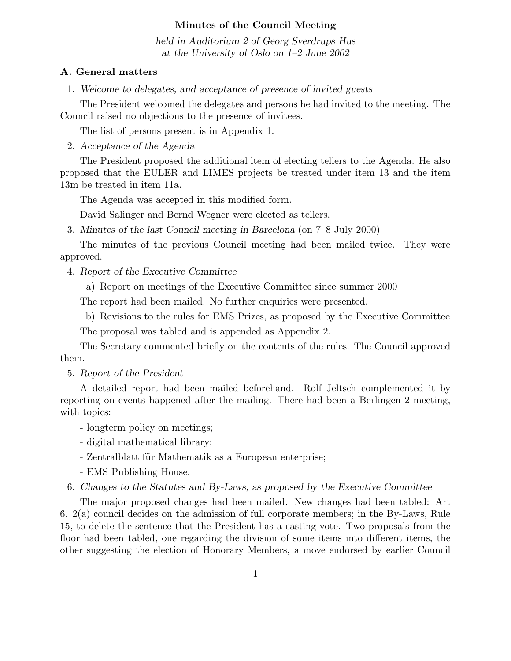# Minutes of the Council Meeting

held in Auditorium 2 of Georg Sverdrups Hus at the University of Oslo on 1–2 June 2002

# A. General matters

1. Welcome to delegates, and acceptance of presence of invited guests

The President welcomed the delegates and persons he had invited to the meeting. The Council raised no objections to the presence of invitees.

The list of persons present is in Appendix 1.

2. Acceptance of the Agenda

The President proposed the additional item of electing tellers to the Agenda. He also proposed that the EULER and LIMES projects be treated under item 13 and the item 13m be treated in item 11a.

The Agenda was accepted in this modified form.

David Salinger and Bernd Wegner were elected as tellers.

3. Minutes of the last Council meeting in Barcelona (on 7–8 July 2000)

The minutes of the previous Council meeting had been mailed twice. They were approved.

- 4. Report of the Executive Committee
	- a) Report on meetings of the Executive Committee since summer 2000

The report had been mailed. No further enquiries were presented.

b) Revisions to the rules for EMS Prizes, as proposed by the Executive Committee

The proposal was tabled and is appended as Appendix 2.

The Secretary commented briefly on the contents of the rules. The Council approved them.

### 5. Report of the President

A detailed report had been mailed beforehand. Rolf Jeltsch complemented it by reporting on events happened after the mailing. There had been a Berlingen 2 meeting, with topics:

- longterm policy on meetings;
- digital mathematical library;
- Zentralblatt für Mathematik as a European enterprise;
- EMS Publishing House.

#### 6. Changes to the Statutes and By-Laws, as proposed by the Executive Committee

The major proposed changes had been mailed. New changes had been tabled: Art 6. 2(a) council decides on the admission of full corporate members; in the By-Laws, Rule 15, to delete the sentence that the President has a casting vote. Two proposals from the floor had been tabled, one regarding the division of some items into different items, the other suggesting the election of Honorary Members, a move endorsed by earlier Council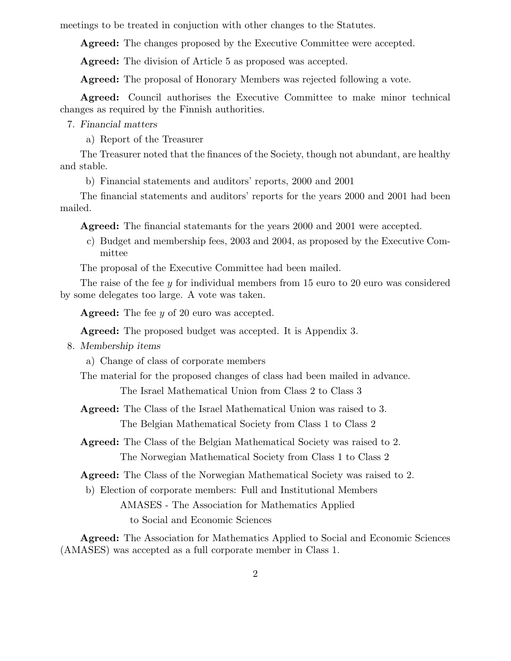meetings to be treated in conjuction with other changes to the Statutes.

Agreed: The changes proposed by the Executive Committee were accepted.

Agreed: The division of Article 5 as proposed was accepted.

Agreed: The proposal of Honorary Members was rejected following a vote.

Agreed: Council authorises the Executive Committee to make minor technical changes as required by the Finnish authorities.

7. Financial matters

a) Report of the Treasurer

The Treasurer noted that the finances of the Society, though not abundant, are healthy and stable.

b) Financial statements and auditors' reports, 2000 and 2001

The financial statements and auditors' reports for the years 2000 and 2001 had been mailed.

Agreed: The financial statemants for the years 2000 and 2001 were accepted.

c) Budget and membership fees, 2003 and 2004, as proposed by the Executive Committee

The proposal of the Executive Committee had been mailed.

The raise of the fee  $\gamma$  for individual members from 15 euro to 20 euro was considered by some delegates too large. A vote was taken.

**Agreed:** The fee  $y$  of 20 euro was accepted.

Agreed: The proposed budget was accepted. It is Appendix 3.

8. Membership items

a) Change of class of corporate members

The material for the proposed changes of class had been mailed in advance.

The Israel Mathematical Union from Class 2 to Class 3

Agreed: The Class of the Israel Mathematical Union was raised to 3. The Belgian Mathematical Society from Class 1 to Class 2

Agreed: The Class of the Belgian Mathematical Society was raised to 2. The Norwegian Mathematical Society from Class 1 to Class 2

Agreed: The Class of the Norwegian Mathematical Society was raised to 2.

b) Election of corporate members: Full and Institutional Members AMASES - The Association for Mathematics Applied to Social and Economic Sciences

Agreed: The Association for Mathematics Applied to Social and Economic Sciences (AMASES) was accepted as a full corporate member in Class 1.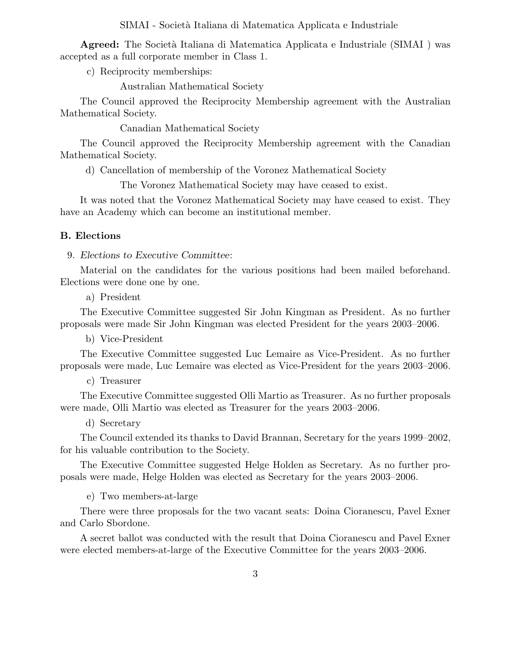SIMAI - Societ`a Italiana di Matematica Applicata e Industriale

Agreed: The Società Italiana di Matematica Applicata e Industriale (SIMAI) was accepted as a full corporate member in Class 1.

c) Reciprocity memberships:

Australian Mathematical Society

The Council approved the Reciprocity Membership agreement with the Australian Mathematical Society.

Canadian Mathematical Society

The Council approved the Reciprocity Membership agreement with the Canadian Mathematical Society.

d) Cancellation of membership of the Voronez Mathematical Society

The Voronez Mathematical Society may have ceased to exist.

It was noted that the Voronez Mathematical Society may have ceased to exist. They have an Academy which can become an institutional member.

## B. Elections

9. Elections to Executive Committee:

Material on the candidates for the various positions had been mailed beforehand. Elections were done one by one.

a) President

The Executive Committee suggested Sir John Kingman as President. As no further proposals were made Sir John Kingman was elected President for the years 2003–2006.

b) Vice-President

The Executive Committee suggested Luc Lemaire as Vice-President. As no further proposals were made, Luc Lemaire was elected as Vice-President for the years 2003–2006.

c) Treasurer

The Executive Committee suggested Olli Martio as Treasurer. As no further proposals were made, Olli Martio was elected as Treasurer for the years 2003–2006.

d) Secretary

The Council extended its thanks to David Brannan, Secretary for the years 1999–2002, for his valuable contribution to the Society.

The Executive Committee suggested Helge Holden as Secretary. As no further proposals were made, Helge Holden was elected as Secretary for the years 2003–2006.

e) Two members-at-large

There were three proposals for the two vacant seats: Doina Cioranescu, Pavel Exner and Carlo Sbordone.

A secret ballot was conducted with the result that Doina Cioranescu and Pavel Exner were elected members-at-large of the Executive Committee for the years 2003–2006.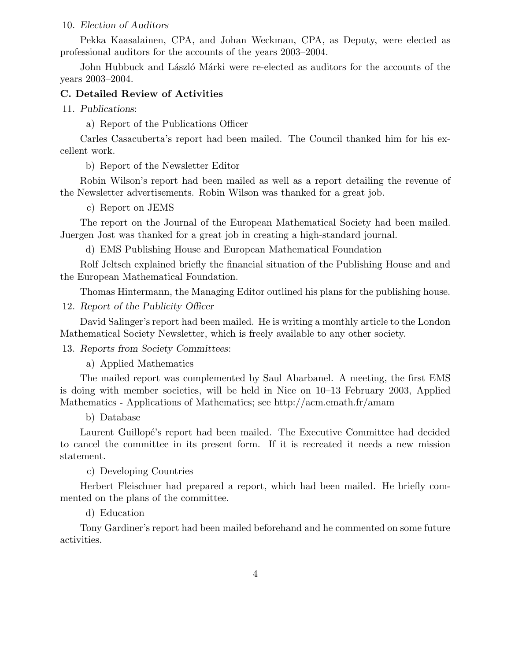## 10. Election of Auditors

Pekka Kaasalainen, CPA, and Johan Weckman, CPA, as Deputy, were elected as professional auditors for the accounts of the years 2003–2004.

John Hubbuck and László Márki were re-elected as auditors for the accounts of the years 2003–2004.

# C. Detailed Review of Activities

11. Publications:

a) Report of the Publications Officer

Carles Casacuberta's report had been mailed. The Council thanked him for his excellent work.

b) Report of the Newsletter Editor

Robin Wilson's report had been mailed as well as a report detailing the revenue of the Newsletter advertisements. Robin Wilson was thanked for a great job.

c) Report on JEMS

The report on the Journal of the European Mathematical Society had been mailed. Juergen Jost was thanked for a great job in creating a high-standard journal.

d) EMS Publishing House and European Mathematical Foundation

Rolf Jeltsch explained briefly the financial situation of the Publishing House and and the European Mathematical Foundation.

Thomas Hintermann, the Managing Editor outlined his plans for the publishing house.

12. Report of the Publicity Officer

David Salinger's report had been mailed. He is writing a monthly article to the London Mathematical Society Newsletter, which is freely available to any other society.

13. Reports from Society Committees:

a) Applied Mathematics

The mailed report was complemented by Saul Abarbanel. A meeting, the first EMS is doing with member societies, will be held in Nice on 10–13 February 2003, Applied Mathematics - Applications of Mathematics; see http://acm.emath.fr/amam

b) Database

Laurent Guillopé's report had been mailed. The Executive Committee had decided to cancel the committee in its present form. If it is recreated it needs a new mission statement.

c) Developing Countries

Herbert Fleischner had prepared a report, which had been mailed. He briefly commented on the plans of the committee.

d) Education

Tony Gardiner's report had been mailed beforehand and he commented on some future activities.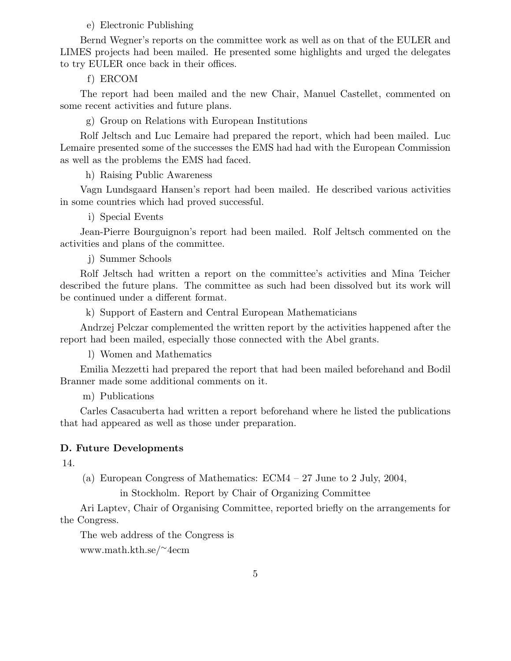### e) Electronic Publishing

Bernd Wegner's reports on the committee work as well as on that of the EULER and LIMES projects had been mailed. He presented some highlights and urged the delegates to try EULER once back in their offices.

### f) ERCOM

The report had been mailed and the new Chair, Manuel Castellet, commented on some recent activities and future plans.

g) Group on Relations with European Institutions

Rolf Jeltsch and Luc Lemaire had prepared the report, which had been mailed. Luc Lemaire presented some of the successes the EMS had had with the European Commission as well as the problems the EMS had faced.

h) Raising Public Awareness

Vagn Lundsgaard Hansen's report had been mailed. He described various activities in some countries which had proved successful.

i) Special Events

Jean-Pierre Bourguignon's report had been mailed. Rolf Jeltsch commented on the activities and plans of the committee.

j) Summer Schools

Rolf Jeltsch had written a report on the committee's activities and Mina Teicher described the future plans. The committee as such had been dissolved but its work will be continued under a different format.

k) Support of Eastern and Central European Mathematicians

Andrzej Pelczar complemented the written report by the activities happened after the report had been mailed, especially those connected with the Abel grants.

l) Women and Mathematics

Emilia Mezzetti had prepared the report that had been mailed beforehand and Bodil Branner made some additional comments on it.

m) Publications

Carles Casacuberta had written a report beforehand where he listed the publications that had appeared as well as those under preparation.

### D. Future Developments

14.

(a) European Congress of Mathematics: ECM4 – 27 June to 2 July, 2004,

in Stockholm. Report by Chair of Organizing Committee

Ari Laptev, Chair of Organising Committee, reported briefly on the arrangements for the Congress.

The web address of the Congress is

www.math.kth.se/<sup>∼</sup>4ecm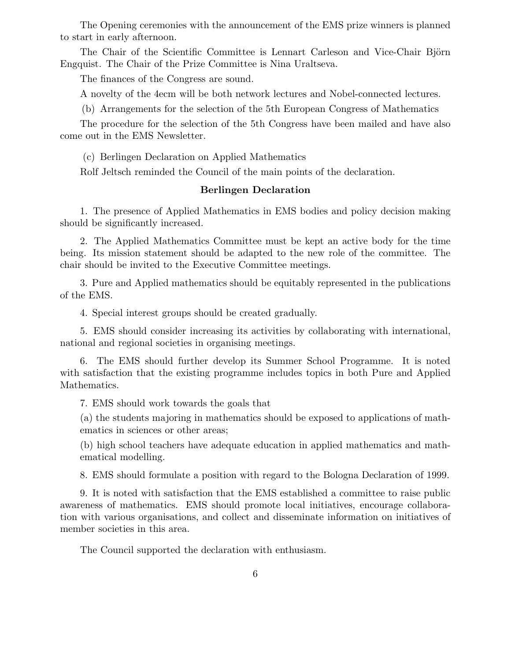The Opening ceremonies with the announcement of the EMS prize winners is planned to start in early afternoon.

The Chair of the Scientific Committee is Lennart Carleson and Vice-Chair Björn Engquist. The Chair of the Prize Committee is Nina Uraltseva.

The finances of the Congress are sound.

A novelty of the 4ecm will be both network lectures and Nobel-connected lectures.

(b) Arrangements for the selection of the 5th European Congress of Mathematics

The procedure for the selection of the 5th Congress have been mailed and have also come out in the EMS Newsletter.

(c) Berlingen Declaration on Applied Mathematics

Rolf Jeltsch reminded the Council of the main points of the declaration.

### Berlingen Declaration

1. The presence of Applied Mathematics in EMS bodies and policy decision making should be significantly increased.

2. The Applied Mathematics Committee must be kept an active body for the time being. Its mission statement should be adapted to the new role of the committee. The chair should be invited to the Executive Committee meetings.

3. Pure and Applied mathematics should be equitably represented in the publications of the EMS.

4. Special interest groups should be created gradually.

5. EMS should consider increasing its activities by collaborating with international, national and regional societies in organising meetings.

6. The EMS should further develop its Summer School Programme. It is noted with satisfaction that the existing programme includes topics in both Pure and Applied Mathematics.

7. EMS should work towards the goals that

(a) the students majoring in mathematics should be exposed to applications of mathematics in sciences or other areas;

(b) high school teachers have adequate education in applied mathematics and mathematical modelling.

8. EMS should formulate a position with regard to the Bologna Declaration of 1999.

9. It is noted with satisfaction that the EMS established a committee to raise public awareness of mathematics. EMS should promote local initiatives, encourage collaboration with various organisations, and collect and disseminate information on initiatives of member societies in this area.

The Council supported the declaration with enthusiasm.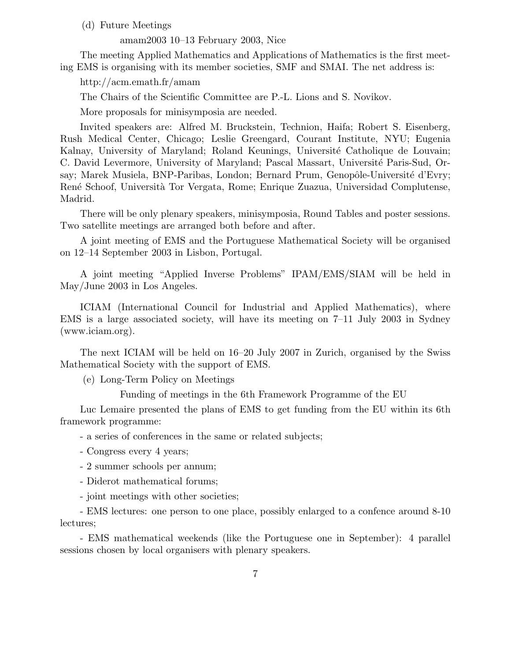### (d) Future Meetings

#### amam2003 10–13 February 2003, Nice

The meeting Applied Mathematics and Applications of Mathematics is the first meeting EMS is organising with its member societies, SMF and SMAI. The net address is:

# http://acm.emath.fr/amam

The Chairs of the Scientific Committee are P.-L. Lions and S. Novikov.

More proposals for minisymposia are needed.

Invited speakers are: Alfred M. Bruckstein, Technion, Haifa; Robert S. Eisenberg, Rush Medical Center, Chicago; Leslie Greengard, Courant Institute, NYU; Eugenia Kalnay, University of Maryland; Roland Keunings, Université Catholique de Louvain; C. David Levermore, University of Maryland; Pascal Massart, Université Paris-Sud, Orsay; Marek Musiela, BNP-Paribas, London; Bernard Prum, Genopôle-Université d'Evry; Ren´e Schoof, Universit`a Tor Vergata, Rome; Enrique Zuazua, Universidad Complutense, Madrid.

There will be only plenary speakers, minisymposia, Round Tables and poster sessions. Two satellite meetings are arranged both before and after.

A joint meeting of EMS and the Portuguese Mathematical Society will be organised on 12–14 September 2003 in Lisbon, Portugal.

A joint meeting "Applied Inverse Problems" IPAM/EMS/SIAM will be held in May/June 2003 in Los Angeles.

ICIAM (International Council for Industrial and Applied Mathematics), where EMS is a large associated society, will have its meeting on 7–11 July 2003 in Sydney (www.iciam.org).

The next ICIAM will be held on 16–20 July 2007 in Zurich, organised by the Swiss Mathematical Society with the support of EMS.

(e) Long-Term Policy on Meetings

Funding of meetings in the 6th Framework Programme of the EU

Luc Lemaire presented the plans of EMS to get funding from the EU within its 6th framework programme:

- a series of conferences in the same or related subjects;

- Congress every 4 years;
- 2 summer schools per annum;
- Diderot mathematical forums;
- joint meetings with other societies;

- EMS lectures: one person to one place, possibly enlarged to a confence around 8-10 lectures;

- EMS mathematical weekends (like the Portuguese one in September): 4 parallel sessions chosen by local organisers with plenary speakers.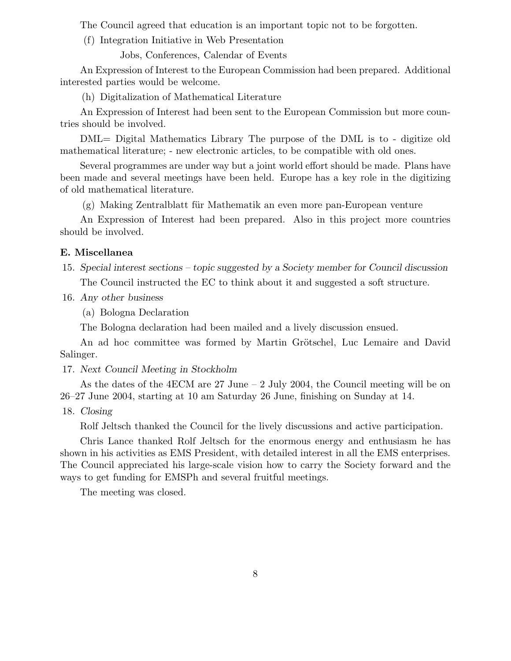The Council agreed that education is an important topic not to be forgotten.

(f) Integration Initiative in Web Presentation

Jobs, Conferences, Calendar of Events

An Expression of Interest to the European Commission had been prepared. Additional interested parties would be welcome.

(h) Digitalization of Mathematical Literature

An Expression of Interest had been sent to the European Commission but more countries should be involved.

DML= Digital Mathematics Library The purpose of the DML is to - digitize old mathematical literature; - new electronic articles, to be compatible with old ones.

Several programmes are under way but a joint world effort should be made. Plans have been made and several meetings have been held. Europe has a key role in the digitizing of old mathematical literature.

 $(g)$  Making Zentralblatt für Mathematik an even more pan-European venture

An Expression of Interest had been prepared. Also in this project more countries should be involved.

### E. Miscellanea

- 15. Special interest sections topic suggested by a Society member for Council discussion The Council instructed the EC to think about it and suggested a soft structure.
- 16. Any other business

(a) Bologna Declaration

The Bologna declaration had been mailed and a lively discussion ensued.

An ad hoc committee was formed by Martin Grötschel, Luc Lemaire and David Salinger.

#### 17. Next Council Meeting in Stockholm

As the dates of the 4ECM are 27 June – 2 July 2004, the Council meeting will be on 26–27 June 2004, starting at 10 am Saturday 26 June, finishing on Sunday at 14.

18. Closing

Rolf Jeltsch thanked the Council for the lively discussions and active participation.

Chris Lance thanked Rolf Jeltsch for the enormous energy and enthusiasm he has shown in his activities as EMS President, with detailed interest in all the EMS enterprises. The Council appreciated his large-scale vision how to carry the Society forward and the ways to get funding for EMSPh and several fruitful meetings.

The meeting was closed.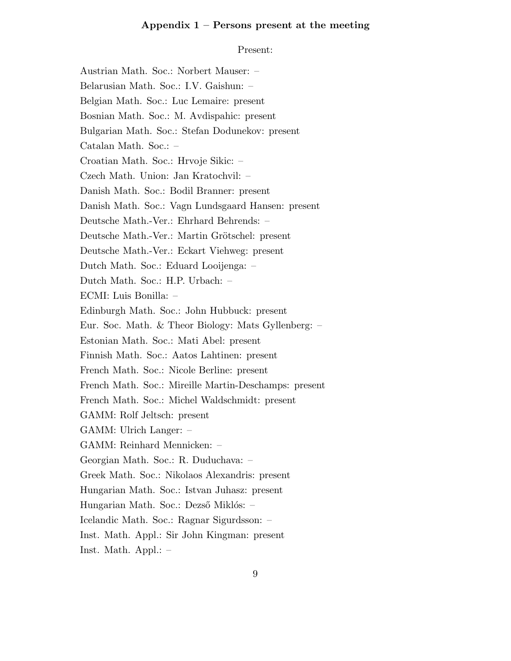# Appendix  $1$  – Persons present at the meeting

## Present:

Austrian Math. Soc.: Norbert Mauser: – Belarusian Math. Soc.: I.V. Gaishun: – Belgian Math. Soc.: Luc Lemaire: present Bosnian Math. Soc.: M. Avdispahic: present Bulgarian Math. Soc.: Stefan Dodunekov: present Catalan Math. Soc.: – Croatian Math. Soc.: Hrvoje Sikic: – Czech Math. Union: Jan Kratochvil: – Danish Math. Soc.: Bodil Branner: present Danish Math. Soc.: Vagn Lundsgaard Hansen: present Deutsche Math.-Ver.: Ehrhard Behrends: – Deutsche Math.-Ver.: Martin Grötschel: present Deutsche Math.-Ver.: Eckart Viehweg: present Dutch Math. Soc.: Eduard Looijenga: – Dutch Math. Soc.: H.P. Urbach: – ECMI: Luis Bonilla: – Edinburgh Math. Soc.: John Hubbuck: present Eur. Soc. Math. & Theor Biology: Mats Gyllenberg: – Estonian Math. Soc.: Mati Abel: present Finnish Math. Soc.: Aatos Lahtinen: present French Math. Soc.: Nicole Berline: present French Math. Soc.: Mireille Martin-Deschamps: present French Math. Soc.: Michel Waldschmidt: present GAMM: Rolf Jeltsch: present GAMM: Ulrich Langer: – GAMM: Reinhard Mennicken: – Georgian Math. Soc.: R. Duduchava: – Greek Math. Soc.: Nikolaos Alexandris: present Hungarian Math. Soc.: Istvan Juhasz: present Hungarian Math. Soc.: Dezső Miklós: – Icelandic Math. Soc.: Ragnar Sigurdsson: – Inst. Math. Appl.: Sir John Kingman: present Inst. Math. Appl.: –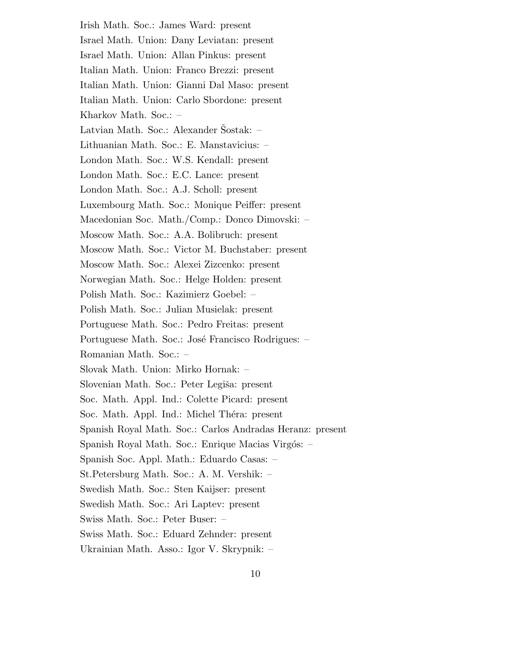Irish Math. Soc.: James Ward: present Israel Math. Union: Dany Leviatan: present Israel Math. Union: Allan Pinkus: present Italian Math. Union: Franco Brezzi: present Italian Math. Union: Gianni Dal Maso: present Italian Math. Union: Carlo Sbordone: present Kharkov Math. Soc.: – Latvian Math. Soc.: Alexander Sostak: – Lithuanian Math. Soc.: E. Manstavicius: – London Math. Soc.: W.S. Kendall: present London Math. Soc.: E.C. Lance: present London Math. Soc.: A.J. Scholl: present Luxembourg Math. Soc.: Monique Peiffer: present Macedonian Soc. Math./Comp.: Donco Dimovski: – Moscow Math. Soc.: A.A. Bolibruch: present Moscow Math. Soc.: Victor M. Buchstaber: present Moscow Math. Soc.: Alexei Zizcenko: present Norwegian Math. Soc.: Helge Holden: present Polish Math. Soc.: Kazimierz Goebel: – Polish Math. Soc.: Julian Musielak: present Portuguese Math. Soc.: Pedro Freitas: present Portuguese Math. Soc.: José Francisco Rodrigues: – Romanian Math. Soc.: – Slovak Math. Union: Mirko Hornak: – Slovenian Math. Soc.: Peter Legiša: present Soc. Math. Appl. Ind.: Colette Picard: present Soc. Math. Appl. Ind.: Michel Théra: present Spanish Royal Math. Soc.: Carlos Andradas Heranz: present Spanish Royal Math. Soc.: Enrique Macias Virgós: – Spanish Soc. Appl. Math.: Eduardo Casas: – St.Petersburg Math. Soc.: A. M. Vershik: – Swedish Math. Soc.: Sten Kaijser: present Swedish Math. Soc.: Ari Laptev: present Swiss Math. Soc.: Peter Buser: – Swiss Math. Soc.: Eduard Zehnder: present Ukrainian Math. Asso.: Igor V. Skrypnik: –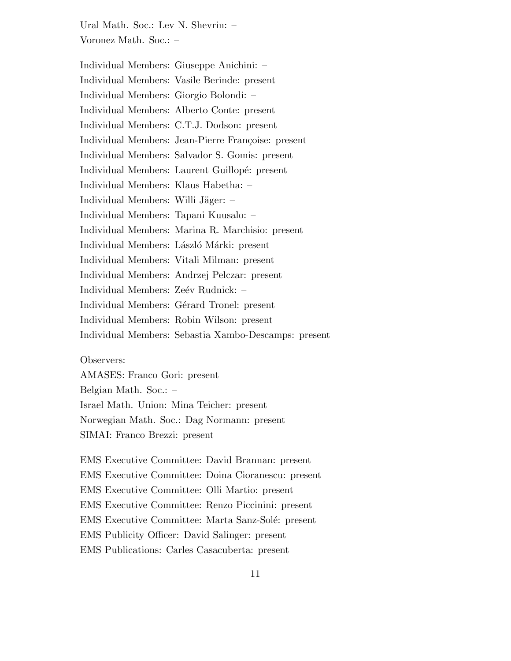Ural Math. Soc.: Lev N. Shevrin: – Voronez Math. Soc.: –

Individual Members: Giuseppe Anichini: – Individual Members: Vasile Berinde: present Individual Members: Giorgio Bolondi: – Individual Members: Alberto Conte: present Individual Members: C.T.J. Dodson: present Individual Members: Jean-Pierre Françoise: present Individual Members: Salvador S. Gomis: present Individual Members: Laurent Guillopé: present Individual Members: Klaus Habetha: – Individual Members: Willi Jäger: – Individual Members: Tapani Kuusalo: – Individual Members: Marina R. Marchisio: present Individual Members: László Márki: present Individual Members: Vitali Milman: present Individual Members: Andrzej Pelczar: present Individual Members: Zeév Rudnick: -Individual Members: Gérard Tronel: present Individual Members: Robin Wilson: present Individual Members: Sebastia Xambo-Descamps: present

Observers:

AMASES: Franco Gori: present Belgian Math. Soc.: – Israel Math. Union: Mina Teicher: present Norwegian Math. Soc.: Dag Normann: present SIMAI: Franco Brezzi: present

EMS Executive Committee: David Brannan: present EMS Executive Committee: Doina Cioranescu: present EMS Executive Committee: Olli Martio: present EMS Executive Committee: Renzo Piccinini: present EMS Executive Committee: Marta Sanz-Solé: present EMS Publicity Officer: David Salinger: present EMS Publications: Carles Casacuberta: present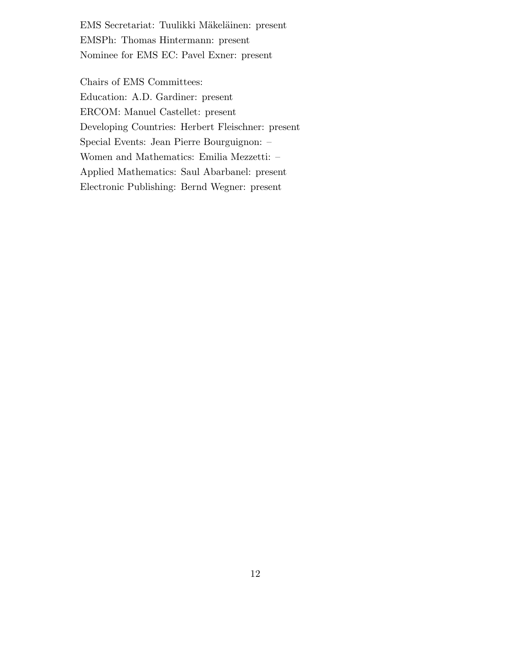EMS Secretariat: Tuulikki Mäkeläinen: present EMSPh: Thomas Hintermann: present Nominee for EMS EC: Pavel Exner: present

Chairs of EMS Committees: Education: A.D. Gardiner: present ERCOM: Manuel Castellet: present Developing Countries: Herbert Fleischner: present Special Events: Jean Pierre Bourguignon: – Women and Mathematics: Emilia Mezzetti: – Applied Mathematics: Saul Abarbanel: present Electronic Publishing: Bernd Wegner: present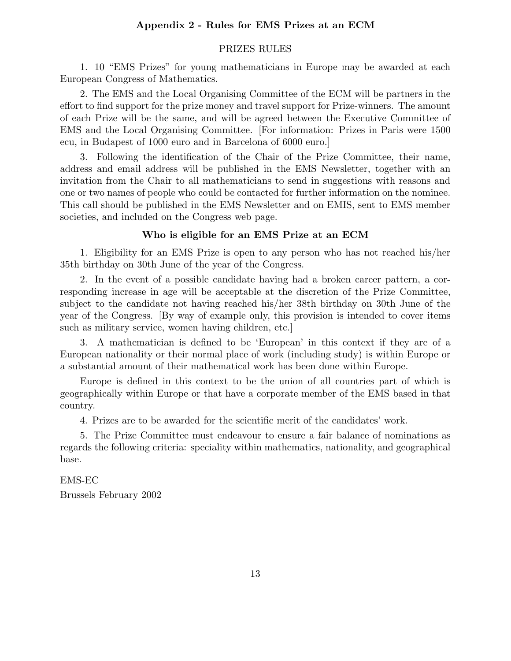# Appendix 2 - Rules for EMS Prizes at an ECM

### PRIZES RULES

1. 10 "EMS Prizes" for young mathematicians in Europe may be awarded at each European Congress of Mathematics.

2. The EMS and the Local Organising Committee of the ECM will be partners in the effort to find support for the prize money and travel support for Prize-winners. The amount of each Prize will be the same, and will be agreed between the Executive Committee of EMS and the Local Organising Committee. [For information: Prizes in Paris were 1500 ecu, in Budapest of 1000 euro and in Barcelona of 6000 euro.]

3. Following the identification of the Chair of the Prize Committee, their name, address and email address will be published in the EMS Newsletter, together with an invitation from the Chair to all mathematicians to send in suggestions with reasons and one or two names of people who could be contacted for further information on the nominee. This call should be published in the EMS Newsletter and on EMIS, sent to EMS member societies, and included on the Congress web page.

#### Who is eligible for an EMS Prize at an ECM

1. Eligibility for an EMS Prize is open to any person who has not reached his/her 35th birthday on 30th June of the year of the Congress.

2. In the event of a possible candidate having had a broken career pattern, a corresponding increase in age will be acceptable at the discretion of the Prize Committee, subject to the candidate not having reached his/her 38th birthday on 30th June of the year of the Congress. [By way of example only, this provision is intended to cover items such as military service, women having children, etc.]

3. A mathematician is defined to be 'European' in this context if they are of a European nationality or their normal place of work (including study) is within Europe or a substantial amount of their mathematical work has been done within Europe.

Europe is defined in this context to be the union of all countries part of which is geographically within Europe or that have a corporate member of the EMS based in that country.

4. Prizes are to be awarded for the scientific merit of the candidates' work.

5. The Prize Committee must endeavour to ensure a fair balance of nominations as regards the following criteria: speciality within mathematics, nationality, and geographical base.

EMS-EC

Brussels February 2002